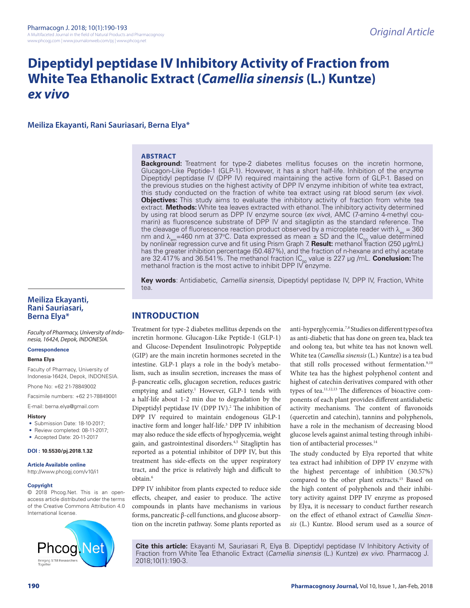# **Dipeptidyl peptidase IV Inhibitory Activity of Fraction from White Tea Ethanolic Extract (***Camellia sinensis* **(L.) Kuntze)**  *ex vivo*

**Meiliza Ekayanti, Rani Sauriasari, Berna Elya\***

## **ABSTRACT**

**Background:** Treatment for type-2 diabetes mellitus focuses on the incretin hormone, Glucagon-Like Peptide-1 (GLP-1). However, it has a short half-life. Inhibition of the enzyme Dipeptidyl peptidase IV (DPP IV) required maintaining the active form of GLP-1. Based on the previous studies on the highest activity of DPP IV enzyme inhibition of white tea extract, this study conducted on the fraction of white tea extract using rat blood serum (*ex vivo*). **Objectives:** This study aims to evaluate the inhibitory activity of fraction from white tea extract. **Methods:** White tea leaves extracted with ethanol. The inhibitory activity determined by using rat blood serum as DPP IV enzyme source (*ex vivo*), AMC (7-amino 4-methyl coumarin) as fluorescence substrate of DPP IV and sitagliptin as the standard reference. The the cleavage of fluorescence reaction product observed by a microplate reader with  $\lambda_{\mu} = 360$ nm and  $\lambda_{em}$ =460 nm at 37°C. Data expressed as mean  $\pm$  SD and the IC<sub>50</sub> value determined by nonlinear regression curve and fit using Prism Graph 7. **Result:** methanol fraction (250 μg/mL) has the greater inhibition percentage (50.487%), and the fraction of n-hexane and ethyl acetate are 32.417% and 36.541%. The methanol fraction IC<sub>50</sub> value is 227 μg /mL. **Conclusion:** The<br>methanol fraction is the most active to inhibit DPP IV enzyme.

**Key words**: Antidiabetic, *Camellia sinensis*, Dipeptidyl peptidase IV, DPP IV, Fraction, White tea.

## **Meiliza Ekayanti, Rani Sauriasari, Berna Elya\***

*Faculty of Pharmacy, University of Indonesia, 16424, Depok, INDONESIA.*

#### **Correspondence**

#### **Berna Elya**

Faculty of Pharmacy, University of Indonesia-16424, Depok, INDONESIA.

Phone No: +62 21-78849002

Facsimile numbers: +62 21-78849001

E-mail: berna.elya@gmail.com

#### **History**

- Submission Date: 18-10-2017;
- Review completed: 08-11-2017;
- Accepted Date: 20-11-2017

#### **DOI : 10.5530/pj.2018.1.32**

#### **Article Available online**

http://www.phcogj.com/v10/i1

#### **Copyright**

© 2018 Phcog.Net. This is an openaccess article distributed under the terms of the Creative Commons Attribution 4.0 International license.



## **INTRODUCTION**

Treatment for type-2 diabetes mellitus depends on the incretin hormone. Glucagon-Like Peptide-1 (GLP-1) and Glucose-Dependent Insulinotropic Polypeptide (GIP) are the main incretin hormones secreted in the intestine. GLP-1 plays a role in the body's metabolism, such as insulin secretion, increases the mass of β-pancreatic cells, glucagon secretion, reduces gastric emptying and satiety.<sup>1</sup> However, GLP-1 tends with a half-life about 1-2 min due to degradation by the Dipeptidyl peptidase IV (DPP IV).<sup>2</sup> The inhibition of DPP IV required to maintain endogenous GLP-1 inactive form and longer half-life.3 DPP IV inhibition may also reduce the side effects of hypoglycemia, weight gain, and gastrointestinal disorders.<sup>4,5</sup> Sitagliptin has reported as a potential inhibitor of DPP IV, but this treatment has side-effects on the upper respiratory tract, and the price is relatively high and difficult to obtain.6

DPP IV inhibitor from plants expected to reduce side effects, cheaper, and easier to produce. The active compounds in plants have mechanisms in various forms, pancreatic β-cell functions, and glucose absorption on the incretin pathway. Some plants reported as anti-hyperglycemia.7,8 Studies on different types of tea as anti-diabetic that has done on green tea, black tea and oolong tea, but white tea has not known well. White tea (*Camellia sinensis* (L.) Kuntze) is a tea bud that still rolls processed without fermentation.<sup>9,10</sup> White tea has the highest polyphenol content and highest of catechin derivatives compared with other types of tea.11,12,13 The differences of bioactive components of each plant provides different antidiabetic activity mechanisms. The content of flavonoids (quercetin and catechin), tannins and polyphenols, have a role in the mechanism of decreasing blood glucose levels against animal testing through inhibition of antibacterial processes.<sup>14</sup>

The study conducted by Elya reported that white tea extract had inhibition of DPP IV enzyme with the highest percentage of inhibition (30.57%) compared to the other plant extracts.15 Based on the high content of polyphenols and their inhibitory activity against DPP IV enzyme as proposed by Elya, it is necessary to conduct further research on the effect of ethanol extract of *Camellia Sinensis* (L.) Kuntze. Blood serum used as a source of

**Cite this article:** Ekayanti M, Sauriasari R, Elya B. Dipeptidyl peptidase IV Inhibitory Activity of Fraction from White Tea Ethanolic Extract (*Camellia sinensis* (L.) Kuntze) *ex vivo*. Pharmacog J. 2018;10(1):190-3.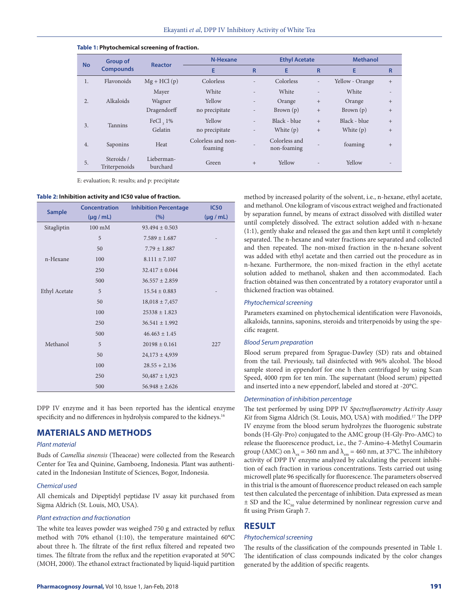| <b>No</b>        | <b>Group of</b><br><b>Compounds</b> | <b>Reactor</b>         | N-Hexane                      |                          | <b>Ethyl Acetate</b>         |                          | <b>Methanol</b> |                |
|------------------|-------------------------------------|------------------------|-------------------------------|--------------------------|------------------------------|--------------------------|-----------------|----------------|
|                  |                                     |                        | E                             | R                        | E                            | R                        | E               | R              |
| $\mathbf{1}$ .   | Flavonoids                          | $Mg + HCl(p)$          | Colorless                     | $\overline{\phantom{a}}$ | Colorless                    | $\overline{\phantom{0}}$ | Yellow - Orange | $+$            |
|                  |                                     | Mayer                  | White                         | $\overline{a}$           | White                        | $\overline{a}$           | White           | $\overline{a}$ |
| $\overline{2}$ . | Alkaloids                           | Wagner                 | Yellow                        | $\overline{\phantom{0}}$ | Orange                       | $+$                      | Orange          | $+$            |
|                  |                                     | Dragendorff            | no precipitate                | $\overline{\phantom{a}}$ | Brown $(p)$                  | $+$                      | Brown $(p)$     | $+$            |
| 3.               | <b>Tannins</b>                      | FeCl $, 1\%$           | Yellow                        | $\overline{\phantom{a}}$ | Black - blue                 | $+$                      | Black - blue    | $+$            |
|                  |                                     | Gelatin                | no precipitate                | $\overline{\phantom{a}}$ | White $(p)$                  | $+$                      | White $(p)$     | $+$            |
| 4.               | Saponins                            | Heat                   | Colorless and non-<br>foaming |                          | Colorless and<br>non-foaming |                          | foaming         | $+$            |
| 5.               | Steroids /<br>Triterpenoids         | Lieberman-<br>burchard | Green                         | $+$                      | Yellow                       |                          | Yellow          | ۰              |

#### **Table 1: Phytochemical screening of fraction.**

E: evaluation; R: results; and p: precipitate

#### **Table 2: Inhibition activity and IC50 value of fraction.**

| <b>Sample</b> | <b>Concentration</b> | <b>Inhibition Percentage</b> | <b>IC50</b>    |  |
|---------------|----------------------|------------------------------|----------------|--|
|               | $(\mu g / mL)$       | (%)                          | $(\mu g / mL)$ |  |
| Sitagliptin   | $100 \text{ mM}$     | $93.494 \pm 0.503$           |                |  |
|               | 5                    | $7.589 \pm 1.687$            |                |  |
|               | 50                   | $7.79 \pm 1.887$             |                |  |
| n-Hexane      | 100                  | $8.111 \pm 7.107$            |                |  |
|               | 250                  | $32.417 \pm 0.044$           |                |  |
|               | 500                  | $36.557 \pm 2.859$           |                |  |
| Ethyl Acetate | 5                    | $15.54 \pm 0.883$            |                |  |
|               | 50                   | $18,018 \pm 7,457$           |                |  |
|               | 100                  | $25338 \pm 1.823$            |                |  |
|               | 250                  | $36.541 \pm 1.992$           |                |  |
|               | 500                  | $46.463 \pm 1.45$            |                |  |
| Methanol      | 5                    | $20198 \pm 0.161$            | 227            |  |
|               | 50                   | $24,173 \pm 4,939$           |                |  |
|               | 100                  | $28.55 + 2,136$              |                |  |
|               | 250                  | $50,487 \pm 1,923$           |                |  |
|               | 500                  | $56.948 \pm 2.626$           |                |  |

DPP IV enzyme and it has been reported has the identical enzyme specificity and no differences in hydrolysis compared to the kidneys.<sup>16</sup>

## **MATERIALS AND METHODS**

### *Plant material*

Buds of *Camellia sinensis* (Theaceae) were collected from the Research Center for Tea and Quinine, Gamboeng, Indonesia. Plant was authenticated in the Indonesian Institute of Sciences, Bogor, Indonesia.

#### *Chemical used*

All chemicals and Dipeptidyl peptidase IV assay kit purchased from Sigma Aldrich (St. Louis, MO, USA).

#### *Plant extraction and fractionation*

The white tea leaves powder was weighed 750 g and extracted by reflux method with 70% ethanol (1:10), the temperature maintained 60°C about three h. The filtrate of the first reflux filtered and repeated two times. The filtrate from the reflux and the repetition evaporated at 50°C (MOH, 2000). The ethanol extract fractionated by liquid-liquid partition method by increased polarity of the solvent, i.e., n-hexane, ethyl acetate, and methanol. One kilogram of viscous extract weighed and fractionated by separation funnel, by means of extract dissolved with distilled water until completely dissolved. The extract solution added with n-hexane (1:1), gently shake and released the gas and then kept until it completely separated. The n-hexane and water fractions are separated and collected and then repeated. The non-mixed fraction in the n-hexane solvent was added with ethyl acetate and then carried out the procedure as in n-hexane. Furthermore, the non-mixed fraction in the ethyl acetate solution added to methanol, shaken and then accommodated. Each fraction obtained was then concentrated by a rotatory evaporator until a thickened fraction was obtained.

#### *Phytochemical screening*

Parameters examined on phytochemical identification were Flavonoids, alkaloids, tannins, saponins, steroids and triterpenoids by using the specific reagent.

#### *Blood Serum preparation*

Blood serum prepared from Sprague-Dawley (SD) rats and obtained from the tail. Previously, tail disinfected with 96% alcohol. The blood sample stored in eppendorf for one h then centrifuged by using Scan Speed, 4000 rpm for ten min. The supernatant (blood serum) pipetted and inserted into a new eppendorf, labeled and stored at -20°C.

#### *Determination of inhibition percentage*

The test performed by using DPP IV *Spectrofluorometry Activity Assay Kit* from Sigma Aldrich (St. Louis, MO, USA) with modified.17 The DPP IV enzyme from the blood serum hydrolyzes the fluorogenic substrate bonds (H-Gly-Pro) conjugated to the AMC group (H-Gly-Pro-AMC) to release the fluorescence product, i.e., the 7-Amino-4-Methyl Coumarin group (AMC) on  $\lambda_{\rm ex}$  = 360 nm and  $\lambda_{\rm em}$  = 460 nm, at 37°C. The inhibitory activity of DPP IV enzyme analyzed by calculating the percent inhibition of each fraction in various concentrations. Tests carried out using microwell plate 96 specifically for fluorescence. The parameters observed in this trial is the amount of fluorescence product released on each sample test then calculated the percentage of inhibition. Data expressed as mean  $\pm$  SD and the IC<sub>50</sub> value determined by nonlinear regression curve and fit using Prism Graph 7.

## **RESULT**

#### *Phytochemical screening*

The results of the classification of the compounds presented in Table 1. The identification of class compounds indicated by the color changes generated by the addition of specific reagents.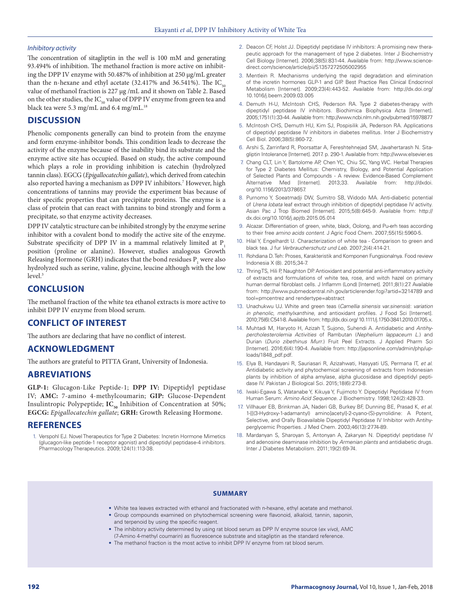#### *Inhibitory activity*

The concentration of sitagliptin in the *well* is 100 mM and generating 93.494% of inhibition. The methanol fraction is more active on inhibiting the DPP IV enzyme with 50.487% of inhibition at 250 μg/mL greater than the n-hexane and ethyl acetate (32.417% and 36.541%). The  $IC_{50}$ value of methanol fraction is 227 μg /mL and it shown on Table 2. Based on the other studies, the  $IC_{50}$  value of DPP IV enzyme from green tea and black tea were 5.3 mg/mL and 6.4 mg/mL.<sup>18</sup>

## **DISCUSSION**

Phenolic components generally can bind to protein from the enzyme and form enzyme-inhibitor bonds. This condition leads to decrease the activity of the enzyme because of the inability bind its substrate and the enzyme active site has occupied. Based on study, the active compound which plays a role in providing inhibition is catechin (hydrolyzed tannin class). EGCG (*Epigallocatechin gallate*), which derived from catechin also reported having a mechanism as DPP IV inhibitors.7 However, high concentrations of tannins may provide the experiment bias because of their specific properties that can precipitate proteins. The enzyme is a class of protein that can react with tannins to bind strongly and form a precipitate, so that enzyme activity decreases.

DPP IV catalytic structure can be inhibited strongly by the enzyme serine inhibitor with a covalent bond to modify the active site of the enzyme. Substrate specificity of DPP IV in a mammal relatively limited at P<sub>1</sub> position (proline or alanine). However, studies analogous Growth Releasing Hormone (GRH) indicates that the bond residues  $P_1$  were also hydrolyzed such as serine, valine, glycine, leucine although with the low  $level<sup>3</sup>$ 

## **CONCLUSION**

The methanol fraction of the white tea ethanol extracts is more active to inhibit DPP IV enzyme from blood serum.

## **CONFLICT OF INTEREST**

The authors are declaring that have no conflict of interest.

## **ACKNOWLEDGMENT**

The authors are grateful to PITTA Grant, University of Indonesia.

## **ABREVIATIONS**

**GLP-1:** Glucagon-Like Peptide-1; **DPP IV:** Dipeptidyl peptidase IV; **AMC:** 7-amino 4-methylcoumarin; **GIP:** Glucose-Dependent Insulintropic Polypeptide; IC<sub>50</sub> Inhibition of Concentration at 50%; **EGCG:** *Epigallocatechin gallate*; **GRH:** Growth Releasing Hormone.

## **REFERENCES**

1. Verspohl EJ. Novel Therapeutics for Type 2 Diabetes: Incretin Hormone Mimetics (glucagon-like peptide-1 receptor agonist) and dipeptidyl peptidase-4 inhibitors. Pharmacology Therapeutics. 2009;124(1):113-38.

- 2. Deacon CF, Holst JJ. Dipeptidyl peptidase IV inhibitors: A promising new therapeutic approach for the management of type 2 diabetes. Inter J Biochemistry Cell Biology [Internet]. 2006;38(5):831-44. Available from: http://www.sciencedirect.com/science/article/pii/S1357272505002955
- 3. Mentlein R. Mechanisms underlying the rapid degradation and elimination of the incretin hormones GLP-1 and GIP. Best Practice Res Clinical Endocrinol Metabolism [Internet]. 2009;23(4):443-52. Available from: http://dx.doi.org/ 10.1016/j.beem.2009.03.005
- 4. Demuth H-U, McIntosh CHS, Pederson RA. Type 2 diabetes-therapy with dipeptidyl peptidase IV inhibitors. Biochimica Biophysica Acta [Internet]. 2005;1751(1):33-44. Available from: http://www.ncbi.nlm.nih.gov/pubmed/15978877
- 5. McIntosh CHS, Demuth HU, Kim SJ, Pospisilik JA, Pederson RA. Applications of dipeptidyl peptidase IV inhibitors in diabetes mellitus. Inter J Biochemistry Cell Biol. 2006;38(5):860-72.
- 6. Arshi S, Zarrinfard R, Poorsattar A, Fereshtehnejad SM, Javahertarash N. Sitagliptin Intolerance [Internet]. 2017. p. 290-1. Available from: http://www.elsevier.es
- 7. Chang CLT, Lin Y, Bartolome AP, Chen YC, Chiu SC, Yang WC. Herbal Therapies for Type 2 Diabetes Mellitus: Chemistry, Biology, and Potential Application of Selected Plants and Compounds - A review. Evidence-Based Complement Alternative Med [Internet]. 2013;33. Available from: http://dxdoi. org/10.1156/2013/378657.
- 8. Purnomo Y, Soeatmadji DW, Sumitro SB, Widodo MA. Anti-diabetic potential of *Urena lobata* leaf extract through inhibition of dipeptidyl peptidase IV activity. Asian Pac J Trop Biomed [Internet]. 2015;5(8):645-9. Available from: http:// dx.doi.org/10.1016/j.apjtb.2015.05.014
- 9. Alcazar. Differentiation of green, white, black, Oolong, and Pu-erh teas according to their free *amino acids content*. J Agric Food Chem. 2007;55(15):5960-5.
- 10. Hilal Y, Engelhardt U. Characterization of white tea Comparison to green and black tea. J fur *Verbraucherschutz und Leb*. 2007;2(4):414-21.
- 11. Rohdiana D. Teh: Proses, Karakteristik and Komponen Fungsionalnya. Food review Indonesia X (8). 2015;34-7.
- 12. Thring TS, Hili P, Naughton DP. Antioxidant and potential anti-inflammatory activity of extracts and formulations of white tea, rose, and witch hazel on primary human dermal fibroblast cells. J Inflamm (Lond) [Internet]. 2011;8(1):27. Available from: http://www.pubmedcentral.nih.gov/articlerender.fcgi?artid=3214789 and tool=pmcentrez and rendertype=abstract
- 13. Unachukwu UJ. White and green teas (*Camellia sinensis var.sinensis*): *variation in phenolic*, *methylxanthine*, and antioxidant profiles. J Food Sci [Internet]. 2010;75(6):C541-8. Available from: http://dx.doi.org/ 10.1111/j.1750-3841.2010.01705.x.
- 14. Muhtadi M, Haryoto H, Azizah T, Sujono, Suhendi A. Antidiabetic and *Antihypercholesterolemia Activities* of Rambutan (*Nephelium lappaceum L*.) and Durian (*Durio zibethinus Murr*.) Fruit Peel Extracts. J Applied Pharm Sci [Internet]. 2016;6(4):190-4. Available from: http://japsonline.com/admin/php/uploads/1848\_pdf.pdf.
- 15. Elya B, Handayani R, Sauriasari R, Azizahwati, Hasyyati US, Permana IT, *et al*. Antidiabetic activity and phytochemical screening of extracts from Indonesian plants by inhibition of alpha amylase, alpha glucosidase and dipeptidyl peptidase IV. Pakistan J Biological Sci. 2015;18(6):273-8.
- 16. Iwaki-Egawa S, Watanabe Y, Kikuya Y, Fujimoto Y. Dipeptidyl Peptidase IV from Human Serum: *Amino Acid Sequence*. J Biochemistry. 1998;124(2):428-33.
- 17. Villhauer EB, Brinkman JA, Naderi GB, Burkey BF, Dunning BE, Prasad K, *et al*. 1-[[(3-Hydroxy-1-adamantyl) amino]acetyl]-2-cyano-(S)-pyrrolidine: A Potent, Selective, and Orally Bioavailable Dipeptidyl Peptidase IV Inhibitor with Antihyperglycemic Properties. J Med Chem. 2003;46(13):2774-89.
- 18. Mardanyan S, Sharoyan S, Antonyan A, Zakaryan N. Dipeptidyl peptidase IV and adenosine deaminase inhibition by *Armenian plants* and antidiabetic drugs. Inter J Diabetes Metabolism. 2011;19(2):69-74.

#### **SUMMARY**

- White tea leaves extracted with ethanol and fractionated with n-hexane, ethyl acetate and methanol.
- Group compounds examined on phytochemical screening were flavonoid, alkaloid, tannin, saponin, and terpenoid by using the specific reagent.
- The inhibitory activity determined by using rat blood serum as DPP IV enzyme source (*ex vivo*), AMC (7-Amino 4-methyl coumarin) as fluorescence substrate and sitagliptin as the standard reference.
- The methanol fraction is the most active to inhibit DPP IV enzyme from rat blood serum.